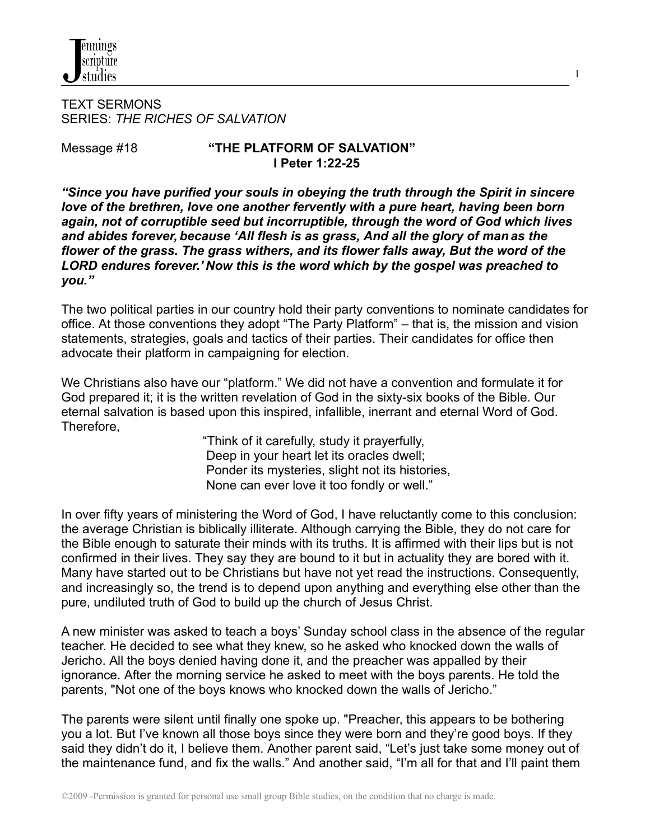

TEXT SERMONS SERIES: *THE RICHES OF SALVATION*

## Message #18 **"THE PLATFORM OF SALVATION" I Peter 1:22-25**

1

*"Since you have purified your souls in obeying the truth through the Spirit in sincere love of the brethren, love one another fervently with a pure heart, having been born again, not of corruptible seed but incorruptible, through the word of God which lives and abides forever, because 'All flesh is as grass, And all the glory of man as the flower of the grass. The grass withers, and its flower falls away, But the word of the LORD endures forever.' Now this is the word which by the gospel was preached to you."*

The two political parties in our country hold their party conventions to nominate candidates for office. At those conventions they adopt "The Party Platform" – that is, the mission and vision statements, strategies, goals and tactics of their parties. Their candidates for office then advocate their platform in campaigning for election.

We Christians also have our "platform." We did not have a convention and formulate it for God prepared it; it is the written revelation of God in the sixty-six books of the Bible. Our eternal salvation is based upon this inspired, infallible, inerrant and eternal Word of God. Therefore,

> "Think of it carefully, study it prayerfully, Deep in your heart let its oracles dwell; Ponder its mysteries, slight not its histories, None can ever love it too fondly or well."

In over fifty years of ministering the Word of God, I have reluctantly come to this conclusion: the average Christian is biblically illiterate. Although carrying the Bible, they do not care for the Bible enough to saturate their minds with its truths. It is affirmed with their lips but is not confirmed in their lives. They say they are bound to it but in actuality they are bored with it. Many have started out to be Christians but have not yet read the instructions. Consequently, and increasingly so, the trend is to depend upon anything and everything else other than the pure, undiluted truth of God to build up the church of Jesus Christ.

A new minister was asked to teach a boys' Sunday school class in the absence of the regular teacher. He decided to see what they knew, so he asked who knocked down the walls of Jericho. All the boys denied having done it, and the preacher was appalled by their ignorance. After the morning service he asked to meet with the boys parents. He told the parents, "Not one of the boys knows who knocked down the walls of Jericho."

The parents were silent until finally one spoke up. "Preacher, this appears to be bothering you a lot. But I've known all those boys since they were born and they're good boys. If they said they didn't do it, I believe them. Another parent said, "Let's just take some money out of the maintenance fund, and fix the walls." And another said, "I'm all for that and I'll paint them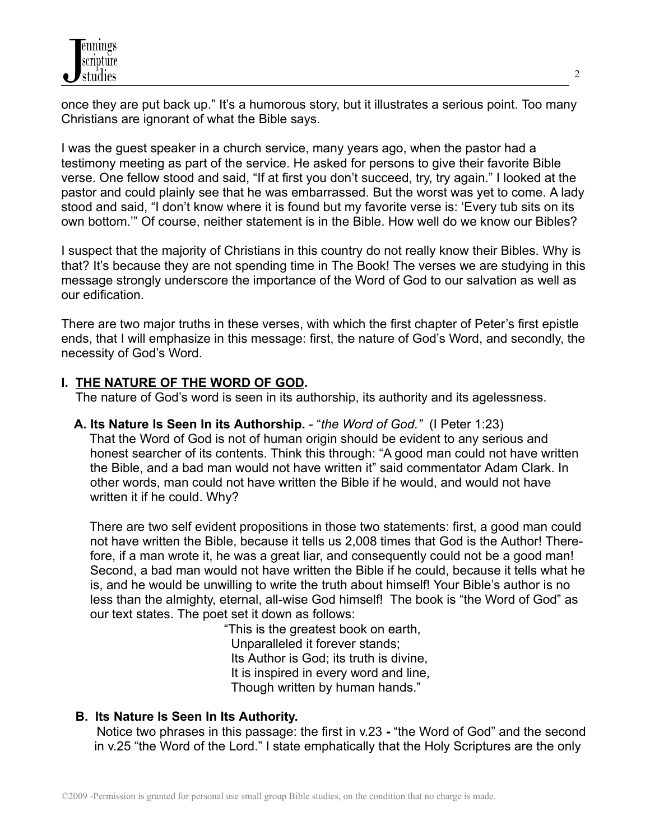once they are put back up." It's a humorous story, but it illustrates a serious point. Too many Christians are ignorant of what the Bible says.

I was the guest speaker in a church service, many years ago, when the pastor had a testimony meeting as part of the service. He asked for persons to give their favorite Bible verse. One fellow stood and said, "If at first you don't succeed, try, try again." I looked at the pastor and could plainly see that he was embarrassed. But the worst was yet to come. A lady stood and said, "I don't know where it is found but my favorite verse is: 'Every tub sits on its own bottom.'" Of course, neither statement is in the Bible. How well do we know our Bibles?

I suspect that the majority of Christians in this country do not really know their Bibles. Why is that? It's because they are not spending time in The Book! The verses we are studying in this message strongly underscore the importance of the Word of God to our salvation as well as our edification.

There are two major truths in these verses, with which the first chapter of Peter's first epistle ends, that I will emphasize in this message: first, the nature of God's Word, and secondly, the necessity of God's Word.

# **I. THE NATURE OF THE WORD OF GOD.**

The nature of God's word is seen in its authorship, its authority and its agelessness.

**A. Its Nature Is Seen In its Authorship.** - "*the Word of God."* (I Peter 1:23) That the Word of God is not of human origin should be evident to any serious and honest searcher of its contents. Think this through: "A good man could not have written the Bible, and a bad man would not have written it" said commentator Adam Clark. In other words, man could not have written the Bible if he would, and would not have written it if he could. Why?

There are two self evident propositions in those two statements: first, a good man could not have written the Bible, because it tells us 2,008 times that God is the Author! Therefore, if a man wrote it, he was a great liar, and consequently could not be a good man! Second, a bad man would not have written the Bible if he could, because it tells what he is, and he would be unwilling to write the truth about himself! Your Bible's author is no less than the almighty, eternal, all-wise God himself! The book is "the Word of God" as our text states. The poet set it down as follows:

> "This is the greatest book on earth, Unparalleled it forever stands; Its Author is God; its truth is divine, It is inspired in every word and line, Though written by human hands."

## **B. Its Nature Is Seen In Its Authority.**

Notice two phrases in this passage: the first in v.23 **-** "the Word of God" and the second in v.25 "the Word of the Lord." I state emphatically that the Holy Scriptures are the only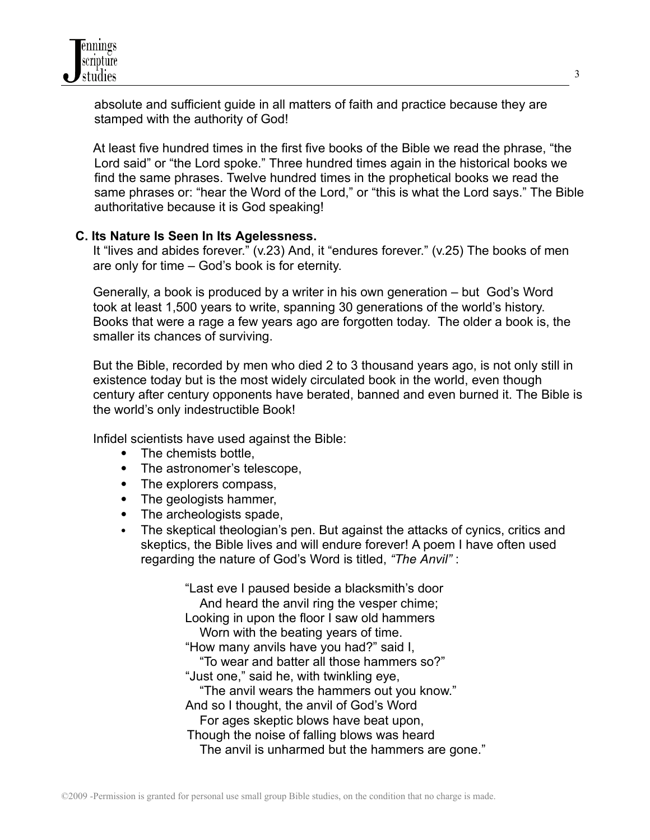

absolute and sufficient guide in all matters of faith and practice because they are stamped with the authority of God!

At least five hundred times in the first five books of the Bible we read the phrase, "the Lord said" or "the Lord spoke." Three hundred times again in the historical books we find the same phrases. Twelve hundred times in the prophetical books we read the same phrases or: "hear the Word of the Lord," or "this is what the Lord says." The Bible authoritative because it is God speaking!

#### **C. Its Nature Is Seen In Its Agelessness.**

It "lives and abides forever." (v.23) And, it "endures forever." (v.25) The books of men are only for time – God's book is for eternity.

Generally, a book is produced by a writer in his own generation – but God's Word took at least 1,500 years to write, spanning 30 generations of the world's history. Books that were a rage a few years ago are forgotten today. The older a book is, the smaller its chances of surviving.

But the Bible, recorded by men who died 2 to 3 thousand years ago, is not only still in existence today but is the most widely circulated book in the world, even though century after century opponents have berated, banned and even burned it. The Bible is the world's only indestructible Book!

Infidel scientists have used against the Bible:

- The chemists bottle,
- The astronomer's telescope,
- The explorers compass,
- The geologists hammer,
- The archeologists spade,
- The skeptical theologian's pen. But against the attacks of cynics, critics and skeptics, the Bible lives and will endure forever! A poem I have often used regarding the nature of God's Word is titled, *"The Anvil"* :

"Last eve I paused beside a blacksmith's door And heard the anvil ring the vesper chime; Looking in upon the floor I saw old hammers Worn with the beating years of time. "How many anvils have you had?" said I, "To wear and batter all those hammers so?" "Just one," said he, with twinkling eye, "The anvil wears the hammers out you know." And so I thought, the anvil of God's Word For ages skeptic blows have beat upon, Though the noise of falling blows was heard The anvil is unharmed but the hammers are gone."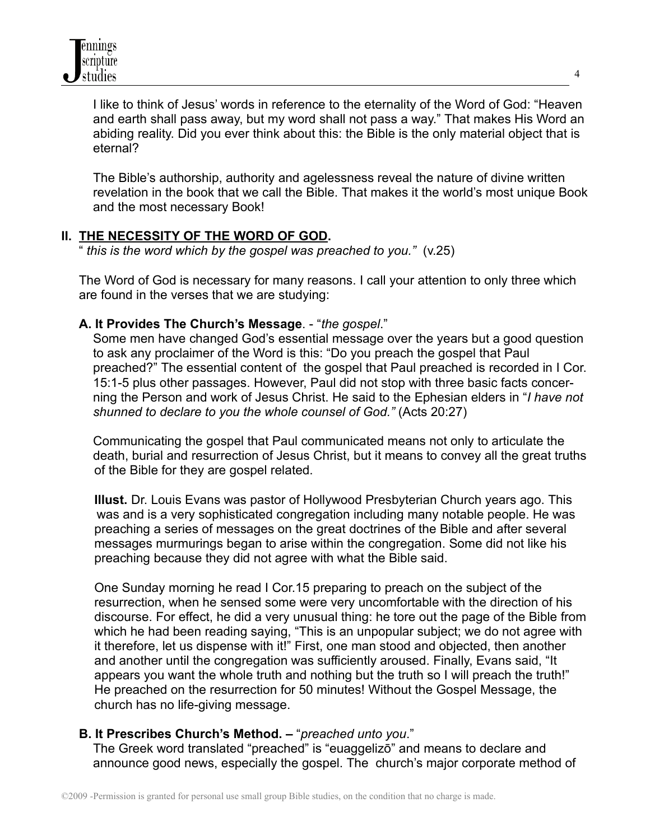

I like to think of Jesus' words in reference to the eternality of the Word of God: "Heaven and earth shall pass away, but my word shall not pass a way." That makes His Word an abiding reality. Did you ever think about this: the Bible is the only material object that is eternal?

The Bible's authorship, authority and agelessness reveal the nature of divine written revelation in the book that we call the Bible. That makes it the world's most unique Book and the most necessary Book!

#### **II. THE NECESSITY OF THE WORD OF GOD.**

" *this is the word which by the gospel was preached to you."* (v.25)

The Word of God is necessary for many reasons. I call your attention to only three which are found in the verses that we are studying:

#### **A. It Provides The Church's Message**. - "*the gospel*."

Some men have changed God's essential message over the years but a good question to ask any proclaimer of the Word is this: "Do you preach the gospel that Paul preached?" The essential content of the gospel that Paul preached is recorded in I Cor. 15:1-5 plus other passages. However, Paul did not stop with three basic facts concerning the Person and work of Jesus Christ. He said to the Ephesian elders in "*I have not shunned to declare to you the whole counsel of God."* (Acts 20:27)

Communicating the gospel that Paul communicated means not only to articulate the death, burial and resurrection of Jesus Christ, but it means to convey all the great truths of the Bible for they are gospel related.

**Illust.** Dr. Louis Evans was pastor of Hollywood Presbyterian Church years ago. This was and is a very sophisticated congregation including many notable people. He was preaching a series of messages on the great doctrines of the Bible and after several messages murmurings began to arise within the congregation. Some did not like his preaching because they did not agree with what the Bible said.

One Sunday morning he read I Cor.15 preparing to preach on the subject of the resurrection, when he sensed some were very uncomfortable with the direction of his discourse. For effect, he did a very unusual thing: he tore out the page of the Bible from which he had been reading saying, "This is an unpopular subject; we do not agree with it therefore, let us dispense with it!" First, one man stood and objected, then another and another until the congregation was sufficiently aroused. Finally, Evans said, "It appears you want the whole truth and nothing but the truth so I will preach the truth!" He preached on the resurrection for 50 minutes! Without the Gospel Message, the church has no life-giving message.

## **B. It Prescribes Church's Method. –** "*preached unto you*."

The Greek word translated "preached" is "euaggelizō" and means to declare and announce good news, especially the gospel. The church's major corporate method of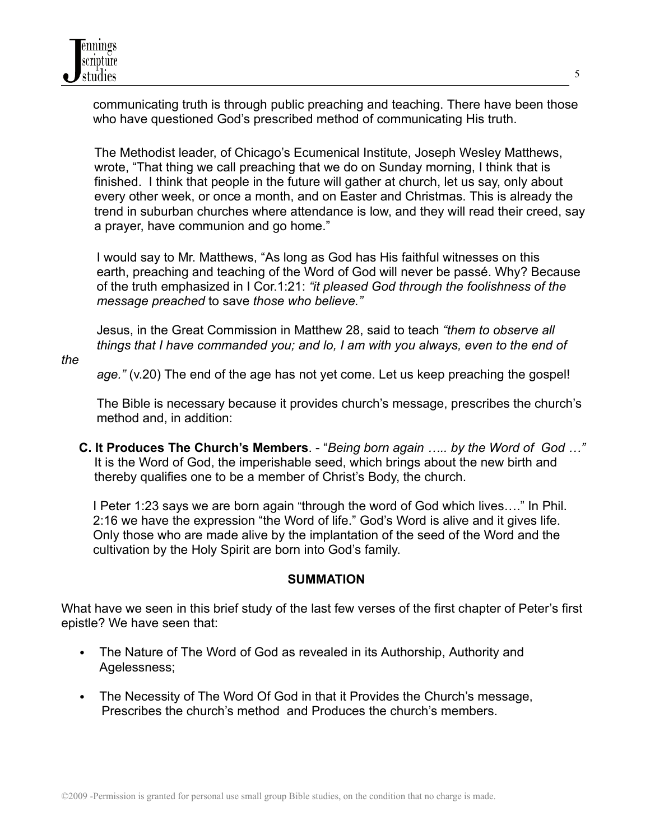communicating truth is through public preaching and teaching. There have been those who have questioned God's prescribed method of communicating His truth.

The Methodist leader, of Chicago's Ecumenical Institute, Joseph Wesley Matthews, wrote, "That thing we call preaching that we do on Sunday morning, I think that is finished. I think that people in the future will gather at church, let us say, only about every other week, or once a month, and on Easter and Christmas. This is already the trend in suburban churches where attendance is low, and they will read their creed, say a prayer, have communion and go home."

I would say to Mr. Matthews, "As long as God has His faithful witnesses on this earth, preaching and teaching of the Word of God will never be passé. Why? Because of the truth emphasized in I Cor.1:21: *"it pleased God through the foolishness of the message preached* to save *those who believe."*

Jesus, in the Great Commission in Matthew 28, said to teach *"them to observe all things that I have commanded you; and lo, I am with you always, even to the end of*

*the*

*age."* (v.20) The end of the age has not yet come. Let us keep preaching the gospel!

The Bible is necessary because it provides church's message, prescribes the church's method and, in addition:

**C. It Produces The Church's Members**. - "*Being born again ….. by the Word of God …"* It is the Word of God, the imperishable seed, which brings about the new birth and thereby qualifies one to be a member of Christ's Body, the church.

I Peter 1:23 says we are born again "through the word of God which lives…." In Phil. 2:16 we have the expression "the Word of life." God's Word is alive and it gives life. Only those who are made alive by the implantation of the seed of the Word and the cultivation by the Holy Spirit are born into God's family.

## **SUMMATION**

What have we seen in this brief study of the last few verses of the first chapter of Peter's first epistle? We have seen that:

- The Nature of The Word of God as revealed in its Authorship, Authority and Agelessness;
- The Necessity of The Word Of God in that it Provides the Church's message, Prescribes the church's method and Produces the church's members.